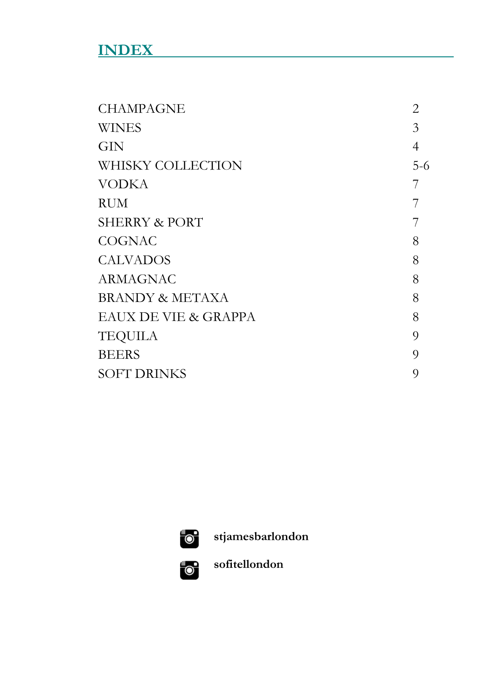# **INDEX**

| <b>CHAMPAGNE</b>                | 2              |
|---------------------------------|----------------|
| <b>WINES</b>                    | 3              |
| GIN                             | 4              |
| WHISKY COLLECTION               | $5-6$          |
| <b>VODKA</b>                    |                |
| RUM                             |                |
| <b>SHERRY &amp; PORT</b>        |                |
| <b>COGNAC</b>                   | 8              |
| <b>CALVADOS</b>                 | 8              |
| ARMAGNAC                        | 8              |
| <b>BRANDY &amp; METAXA</b>      | 8              |
| <b>EAUX DE VIE &amp; GRAPPA</b> | 8              |
| <b>TEQUILA</b>                  | $\overline{O}$ |
| <b>BEERS</b>                    | Q              |
| <b>SOFT DRINKS</b>              | 9              |



**stjamesbarlondon**



**sofitellondon**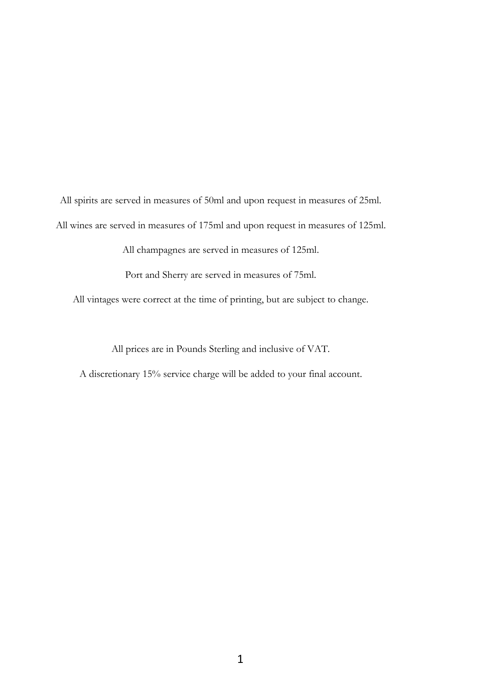All spirits are served in measures of 50ml and upon request in measures of 25ml. All wines are served in measures of 175ml and upon request in measures of 125ml.

All champagnes are served in measures of 125ml.

Port and Sherry are served in measures of 75ml.

All vintages were correct at the time of printing, but are subject to change.

All prices are in Pounds Sterling and inclusive of VAT.

A discretionary 15% service charge will be added to your final account.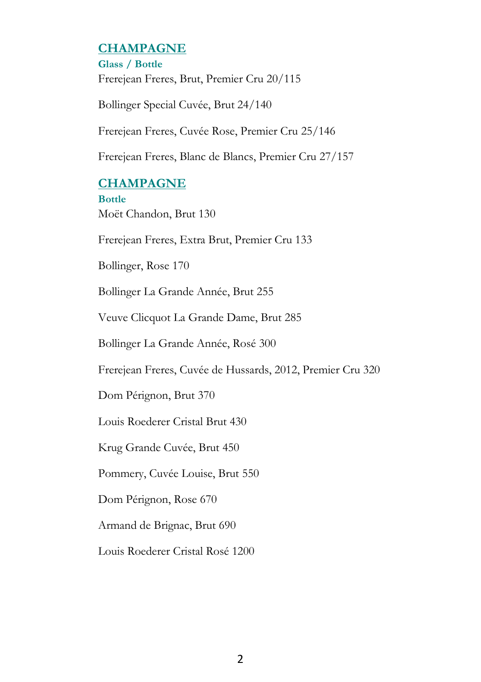# **CHAMPAGNE**

**Glass / Bottle** Frerejean Freres, Brut, Premier Cru 20/115

Bollinger Special Cuvée, Brut 24/140

Frerejean Freres, Cuvée Rose, Premier Cru 25/146

Frerejean Freres, Blanc de Blancs, Premier Cru 27/157

# **CHAMPAGNE**

**Bottle** Moët Chandon, Brut 130

Frerejean Freres, Extra Brut, Premier Cru 133

Bollinger, Rose 170

Bollinger La Grande Année, Brut 255

Veuve Clicquot La Grande Dame, Brut 285

Bollinger La Grande Année, Rosé 300

Frerejean Freres, Cuvée de Hussards, 2012, Premier Cru 320

Dom Pérignon, Brut 370

Louis Roederer Cristal Brut 430

Krug Grande Cuvée, Brut 450

Pommery, Cuvée Louise, Brut 550

Dom Pérignon, Rose 670

Armand de Brignac, Brut 690

Louis Roederer Cristal Rosé 1200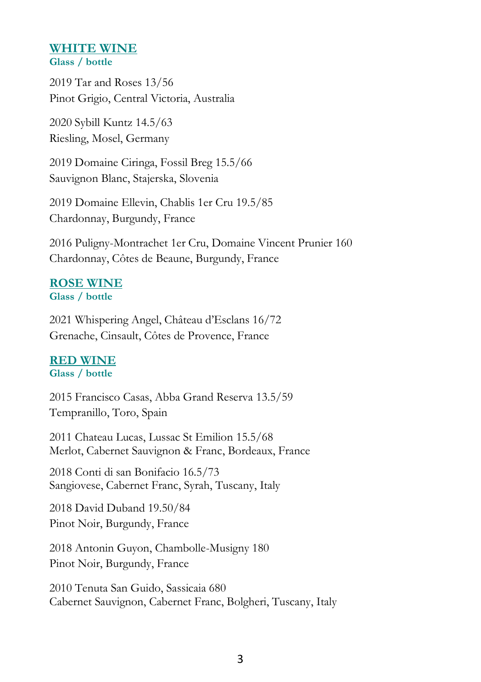#### **WHITE WINE Glass / bottle**

2019 Tar and Roses 13/56 Pinot Grigio, Central Victoria, Australia

2020 Sybill Kuntz 14.5/63 Riesling, Mosel, Germany

2019 Domaine Ciringa, Fossil Breg 15.5/66 Sauvignon Blanc, Stajerska, Slovenia

2019 Domaine Ellevin, Chablis 1er Cru 19.5/85 Chardonnay, Burgundy, France

2016 Puligny-Montrachet 1er Cru, Domaine Vincent Prunier 160 Chardonnay, Côtes de Beaune, Burgundy, France

# **ROSE WINE**

**Glass / bottle**

2021 Whispering Angel, Château d'Esclans 16/72 Grenache, Cinsault, Côtes de Provence, France

# **RED WINE**

## **Glass / bottle**

2015 Francisco Casas, Abba Grand Reserva 13.5/59 Tempranillo, Toro, Spain

2011 Chateau Lucas, Lussac St Emilion 15.5/68 Merlot, Cabernet Sauvignon & Franc, Bordeaux, France

2018 Conti di san Bonifacio 16.5/73 Sangiovese, Cabernet Franc, Syrah, Tuscany, Italy

2018 David Duband 19.50/84 Pinot Noir, Burgundy, France

2018 Antonin Guyon, Chambolle-Musigny 180 Pinot Noir, Burgundy, France

2010 Tenuta San Guido, Sassicaia 680 Cabernet Sauvignon, Cabernet Franc, Bolgheri, Tuscany, Italy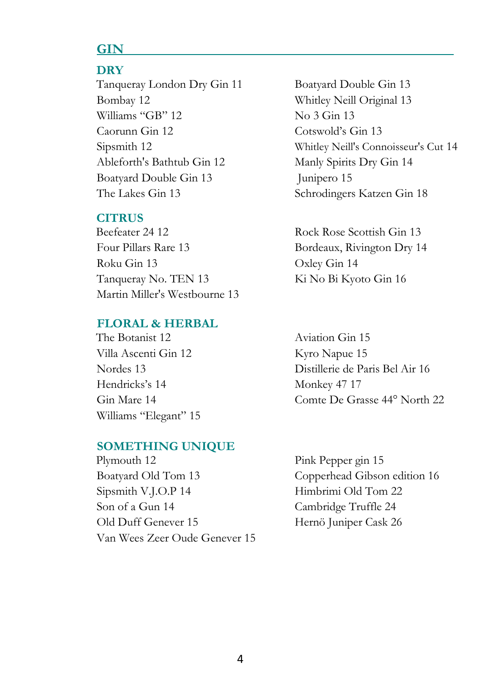# **GIN**

# **DRY**

Tanqueray London Dry Gin 11 Boatyard Double Gin 13 Bombay 12 Whitley Neill Original 13 Williams "GB"  $12$  No  $3$  Gin  $13$  Caorunn Gin 12 Cotswold's Gin 13 Ableforth's Bathtub Gin 12 Manly Spirits Dry Gin 14 Boatyard Double Gin 13 Junipero 15 The Lakes Gin 13 Schrodingers Katzen Gin 18

#### **CITRUS**

Four Pillars Rare 13 Bordeaux, Rivington Dry 14 Roku Gin 13 Oxley Gin 14 Tanqueray No. TEN 13 Ki No Bi Kyoto Gin 16 Martin Miller's Westbourne 13

## **FLORAL & HERBAL**

The Botanist 12 Aviation Gin 15 Villa Ascenti Gin 12 Kyro Napue 15 Hendricks's 14 Monkey 47 17 Williams "Elegant" 15

## **SOMETHING UNIQUE**

Plymouth 12 Pink Pepper gin 15 Boatyard Old Tom 13 Copperhead Gibson edition 16 Sipsmith V.J.O.P 14 Himbrimi Old Tom 22 Son of a Gun 14 Cambridge Truffle 24 Old Duff Genever 15 Hernö Juniper Cask 26 Van Wees Zeer Oude Genever 15

Sipsmith 12 Whitley Neill's Connoisseur's Cut 14

Beefeater 24 12 Rock Rose Scottish Gin 13

 Nordes 13 Distillerie de Paris Bel Air 16 Gin Mare 14 Comte De Grasse 44° North 22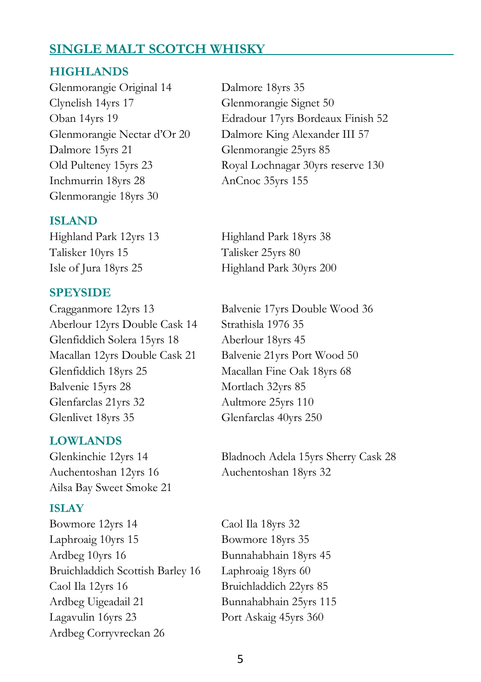# **SINGLE MALT SCOTCH WHISKY**

#### **HIGHLANDS**

Glenmorangie Original 14 Dalmore 18yrs 35 Clynelish 14yrs 17 Glenmorangie Signet 50 Dalmore 15yrs 21 Glenmorangie 25yrs 85 Inchmurrin 18yrs 28 AnCnoc 35yrs 155 Glenmorangie 18yrs 30

#### **ISLAND**

Highland Park 12yrs 13 Highland Park 18yrs 38 Talisker 10yrs 15 Talisker 25yrs 80

#### **SPEYSIDE**

Aberlour 12yrs Double Cask 14 Strathisla 1976 35 Glenfiddich Solera 15yrs 18 Aberlour 18yrs 45 Macallan 12yrs Double Cask 21 Balvenie 21yrs Port Wood 50 Glenfiddich 18yrs 25 Macallan Fine Oak 18yrs 68 Balvenie 15yrs 28 Mortlach 32yrs 85 Glenfarclas 21yrs 32 Aultmore 25yrs 110 Glenlivet 18yrs 35 Glenfarclas 40yrs 250

#### **LOWLANDS**

Auchentoshan 12yrs 16 Auchentoshan 18yrs 32 Ailsa Bay Sweet Smoke 21

#### **ISLAY**

Bowmore 12yrs 14 Caol Ila 18yrs 32 Laphroaig 10yrs 15 Bowmore 18yrs 35 Ardbeg 10yrs 16 Bunnahabhain 18yrs 45 Bruichladdich Scottish Barley 16 Laphroaig 18yrs 60 Caol Ila 12yrs 16 Bruichladdich 22yrs 85 Ardbeg Uigeadail 21 Bunnahabhain 25yrs 115 Lagavulin 16yrs 23 Port Askaig 45yrs 360 Ardbeg Corryvreckan 26

Oban 14yrs 19 Edradour 17yrs Bordeaux Finish 52 Glenmorangie Nectar d'Or 20 Dalmore King Alexander III 57 Old Pulteney 15yrs 23 Royal Lochnagar 30yrs reserve 130

Isle of Jura 18yrs 25 Highland Park 30yrs 200

Cragganmore 12yrs 13 Balvenie 17yrs Double Wood 36

Glenkinchie 12yrs 14 Bladnoch Adela 15yrs Sherry Cask 28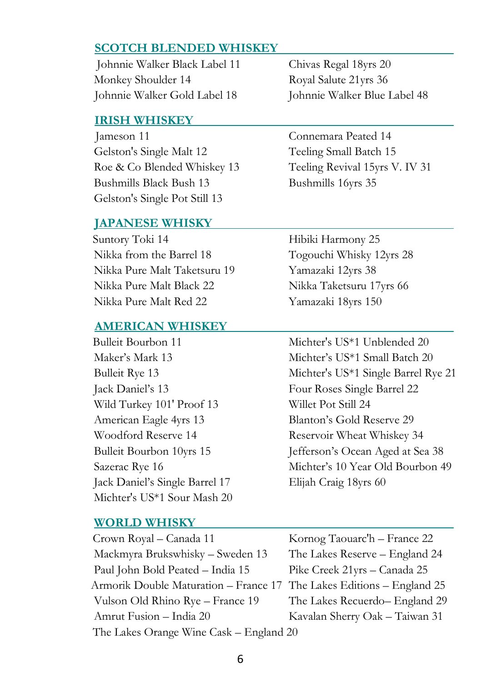## **SCOTCH BLENDED WHISKEY**

 Johnnie Walker Black Label 11 Chivas Regal 18yrs 20 Monkey Shoulder 14 Royal Salute 21yrs 36 Johnnie Walker Gold Label 18 Johnnie Walker Blue Label 48

#### **IRISH WHISKEY**

 Jameson 11 Connemara Peated 14 Gelston's Single Malt 12 Teeling Small Batch 15 Roe & Co Blended Whiskey 13 Teeling Revival 15yrs V. IV 31 Bushmills Black Bush 13 Bushmills 16yrs 35 Gelston's Single Pot Still 13

#### **JAPANESE WHISKY**

Suntory Toki 14 Hibiki Harmony 25 Nikka from the Barrel 18 Togouchi Whisky 12yrs 28 Nikka Pure Malt Taketsuru 19 Yamazaki 12yrs 38 Nikka Pure Malt Black 22 Nikka Taketsuru 17yrs 66 Nikka Pure Malt Red 22 Yamazaki 18yrs 150

#### **AMERICAN WHISKEY**

 Jack Daniel's 13 Four Roses Single Barrel 22 Wild Turkey 101' Proof 13 Willet Pot Still 24 American Eagle 4yrs 13 Blanton's Gold Reserve 29 Woodford Reserve 14 Reservoir Wheat Whiskey 34 Jack Daniel's Single Barrel 17 Elijah Craig 18yrs 60 Michter's US\*1 Sour Mash 20

#### **WORLD WHISKY**

Bulleit Bourbon 11 Michter's US\*1 Unblended 20 Maker's Mark 13 Michter's US\*1 Small Batch 20 Bulleit Rye 13 Michter's US<sup>\*1</sup> Single Barrel Rye 21 Bulleit Bourbon 10yrs 15 Jefferson's Ocean Aged at Sea 38 Sazerac Rye 16 Michter's 10 Year Old Bourbon 49

| Crown Royal - Canada 11                                               | Kornog Taouarc'h – France 22   |
|-----------------------------------------------------------------------|--------------------------------|
| Mackmyra Brukswhisky - Sweden 13                                      | The Lakes Reserve - England 24 |
| Paul John Bold Peated - India 15                                      | Pike Creek 21yrs - Canada 25   |
| Armorik Double Maturation - France 17 The Lakes Editions - England 25 |                                |
| Vulson Old Rhino Rye - France 19                                      | The Lakes Recuerdo-England 29  |
| Amrut Fusion - India 20                                               | Kavalan Sherry Oak - Taiwan 31 |
| The Lakes Orange Wine Cask - England 20                               |                                |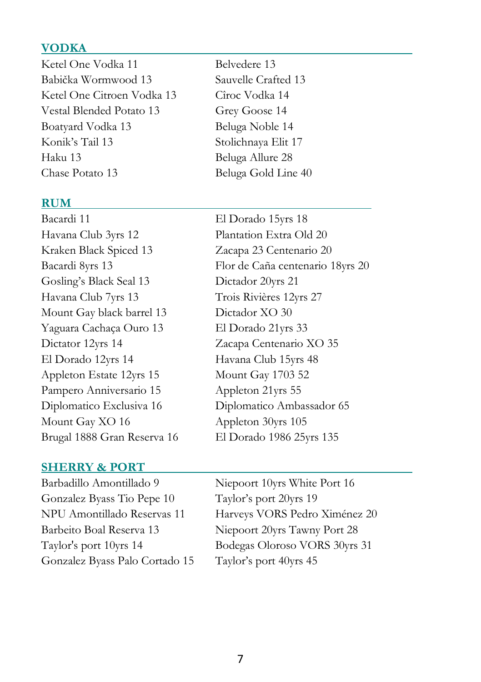# **VODKA**

Ketel One Vodka 11 Belvedere 13 Babička Wormwood 13 Sauvelle Crafted 13 Ketel One Citroen Vodka 13 Cîroc Vodka 14 Vestal Blended Potato 13 Grey Goose 14 Boatyard Vodka 13 Beluga Noble 14 Konik's Tail 13 Stolichnaya Elit 17 Haku 13 Beluga Allure 28 Chase Potato 13 Beluga Gold Line 40

#### **RUM**

- Bacardi 11 El Dorado 15yrs 18 Havana Club 3yrs 12 Plantation Extra Old 20 Kraken Black Spiced 13 Zacapa 23 Centenario 20 Gosling's Black Seal 13 Dictador 20yrs 21 Havana Club 7yrs 13 Trois Rivières 12yrs 27 Mount Gay black barrel 13 Dictador XO 30 Yaguara Cachaça Ouro 13 El Dorado 21yrs 33 Dictator 12yrs 14 Zacapa Centenario XO 35 El Dorado 12yrs 14 Havana Club 15yrs 48 Appleton Estate 12yrs 15 Mount Gay 1703 52 Pampero Anniversario 15 Appleton 21yrs 55 Diplomatico Exclusiva 16 Diplomatico Ambassador 65 Mount Gay XO 16 Appleton 30yrs 105 Brugal 1888 Gran Reserva 16 El Dorado 1986 25yrs 135
- 

Bacardi 8yrs 13 Flor de Caña centenario 18yrs 20

#### **SHERRY & PORT**

Barbadillo Amontillado 9 Niepoort 10yrs White Port 16 Gonzalez Byass Tio Pepe 10 Taylor's port 20yrs 19 Barbeito Boal Reserva 13 Niepoort 20yrs Tawny Port 28 Gonzalez Byass Palo Cortado 15 Taylor's port 40yrs 45

NPU Amontillado Reservas 11 Harveys VORS Pedro Ximénez 20 Taylor's port 10yrs 14 Bodegas Oloroso VORS 30yrs 31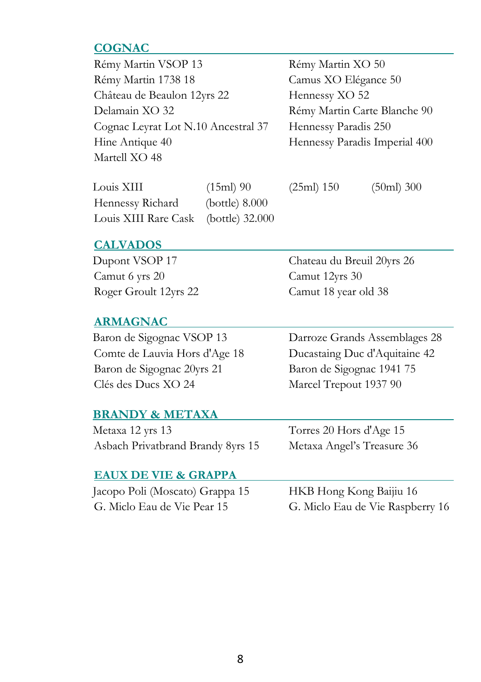# **COGNAC**

| Rémy Martin VSOP 13                 | Rémy Martin XO 50             |
|-------------------------------------|-------------------------------|
| Rémy Martin 1738 18                 | Camus XO Elégance 50          |
| Château de Beaulon 12yrs 22         | Hennessy XO 52                |
| Delamain XO 32                      | Rémy Martin Carte Blanche 90  |
| Cognac Leyrat Lot N.10 Ancestral 37 | Hennessy Paradis 250          |
| Hine Antique 40                     | Hennessy Paradis Imperial 400 |
| Martell XO 48                       |                               |

| Louis XIII                           | $(15ml)$ 90    |
|--------------------------------------|----------------|
| Hennessy Richard                     | (bottle) 8.000 |
| Louis XIII Rare Cask (bottle) 32.000 |                |

(25ml) 150 (50ml) 300

# **CALVADOS**

 Dupont VSOP 17 Chateau du Breuil 20yrs 26 Camut 6 yrs 20 Camut 12yrs 30

#### **ARMAGNAC**

 Comte de Lauvia Hors d'Age 18 Ducastaing Duc d'Aquitaine 42 Baron de Sigognac 20yrs 21 Baron de Sigognac 1941 75 Clés des Ducs XO 24 Marcel Trepout 1937 90

Roger Groult 12yrs 22 Camut 18 year old 38

Baron de Sigognac VSOP 13 Darroze Grands Assemblages 28

#### **BRANDY & METAXA**

 Metaxa 12 yrs 13 Torres 20 Hors d'Age 15 Asbach Privatbrand Brandy 8yrs 15 Metaxa Angel's Treasure 36

#### **EAUX DE VIE & GRAPPA**

| Jacopo Poli (Moscato) Grappa 15 | HKB Hong Kong Baijiu 16          |
|---------------------------------|----------------------------------|
| G. Miclo Eau de Vie Pear 15     | G. Miclo Eau de Vie Raspberry 16 |